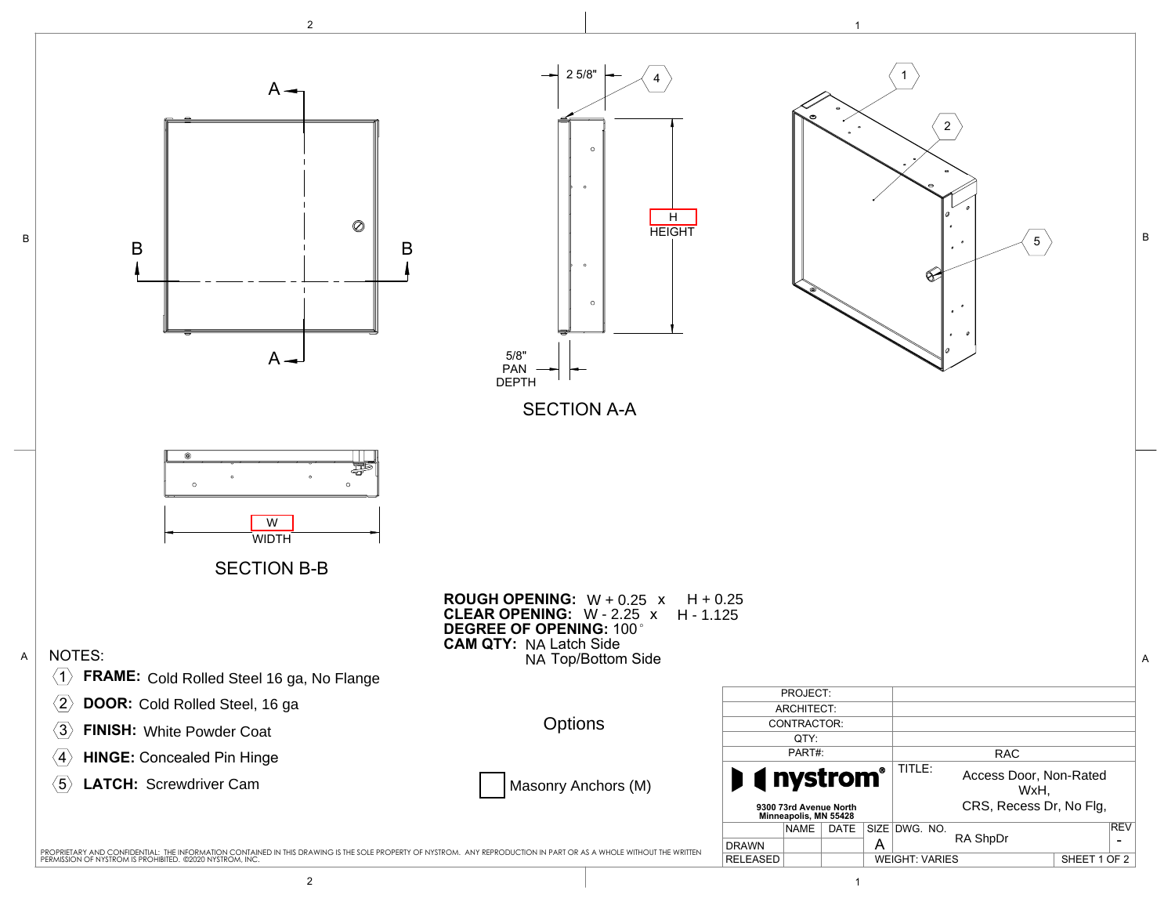